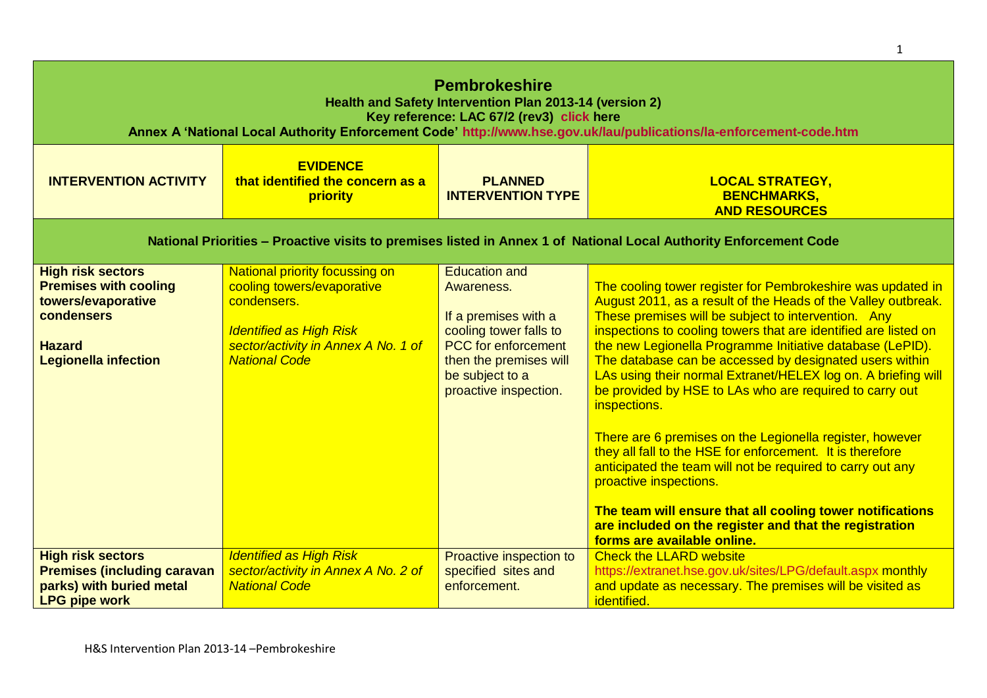| <b>Pembrokeshire</b><br>Health and Safety Intervention Plan 2013-14 (version 2)<br>Key reference: LAC 67/2 (rev3) click here<br>Annex A 'National Local Authority Enforcement Code' http://www.hse.gov.uk/lau/publications/la-enforcement-code.htm |                                                                                                                                                                                     |                                                                                                                                                                                          |                                                                                                                                                                                                                                                                                                                                                                                                                                                                                                                                                                                                                                                                                                                                                                                                                                                                                                   |
|----------------------------------------------------------------------------------------------------------------------------------------------------------------------------------------------------------------------------------------------------|-------------------------------------------------------------------------------------------------------------------------------------------------------------------------------------|------------------------------------------------------------------------------------------------------------------------------------------------------------------------------------------|---------------------------------------------------------------------------------------------------------------------------------------------------------------------------------------------------------------------------------------------------------------------------------------------------------------------------------------------------------------------------------------------------------------------------------------------------------------------------------------------------------------------------------------------------------------------------------------------------------------------------------------------------------------------------------------------------------------------------------------------------------------------------------------------------------------------------------------------------------------------------------------------------|
| <b>INTERVENTION ACTIVITY</b>                                                                                                                                                                                                                       | <b>EVIDENCE</b><br>that identified the concern as a<br>priority                                                                                                                     | <b>PLANNED</b><br><b>INTERVENTION TYPE</b>                                                                                                                                               | <b>LOCAL STRATEGY,</b><br><b>BENCHMARKS,</b><br><b>AND RESOURCES</b>                                                                                                                                                                                                                                                                                                                                                                                                                                                                                                                                                                                                                                                                                                                                                                                                                              |
| National Priorities - Proactive visits to premises listed in Annex 1 of National Local Authority Enforcement Code                                                                                                                                  |                                                                                                                                                                                     |                                                                                                                                                                                          |                                                                                                                                                                                                                                                                                                                                                                                                                                                                                                                                                                                                                                                                                                                                                                                                                                                                                                   |
| <b>High risk sectors</b><br><b>Premises with cooling</b><br>towers/evaporative<br>condensers<br><b>Hazard</b><br><b>Legionella infection</b>                                                                                                       | <b>National priority focussing on</b><br>cooling towers/evaporative<br>condensers.<br><b>Identified as High Risk</b><br>sector/activity in Annex A No. 1 of<br><b>National Code</b> | <b>Education and</b><br>Awareness.<br>If a premises with a<br>cooling tower falls to<br><b>PCC</b> for enforcement<br>then the premises will<br>be subject to a<br>proactive inspection. | The cooling tower register for Pembrokeshire was updated in<br>August 2011, as a result of the Heads of the Valley outbreak.<br>These premises will be subject to intervention. Any<br>inspections to cooling towers that are identified are listed on<br>the new Legionella Programme Initiative database (LePID).<br>The database can be accessed by designated users within<br>LAs using their normal Extranet/HELEX log on. A briefing will<br>be provided by HSE to LAs who are required to carry out<br>inspections.<br>There are 6 premises on the Legionella register, however<br>they all fall to the HSE for enforcement. It is therefore<br>anticipated the team will not be required to carry out any<br>proactive inspections.<br>The team will ensure that all cooling tower notifications<br>are included on the register and that the registration<br>forms are available online. |
| <b>High risk sectors</b><br><b>Premises (including caravan</b><br>parks) with buried metal<br><b>LPG pipe work</b>                                                                                                                                 | <b>Identified as High Risk</b><br>sector/activity in Annex A No. 2 of<br><b>National Code</b>                                                                                       | Proactive inspection to<br>specified sites and<br>enforcement.                                                                                                                           | <b>Check the LLARD website</b><br>https://extranet.hse.gov.uk/sites/LPG/default.aspx monthly<br>and update as necessary. The premises will be visited as<br>identified.                                                                                                                                                                                                                                                                                                                                                                                                                                                                                                                                                                                                                                                                                                                           |

1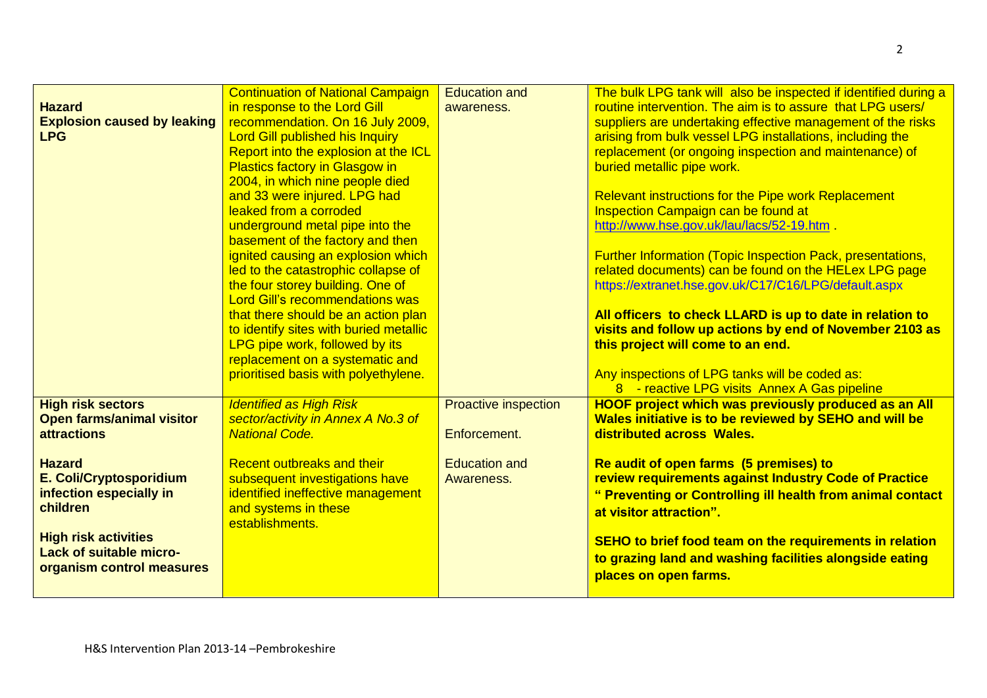|                                    | <b>Continuation of National Campaign</b> | <b>Education and</b>        | The bulk LPG tank will also be inspected if identified during a   |
|------------------------------------|------------------------------------------|-----------------------------|-------------------------------------------------------------------|
| <b>Hazard</b>                      | in response to the Lord Gill             | awareness.                  | routine intervention. The aim is to assure that LPG users/        |
| <b>Explosion caused by leaking</b> | recommendation. On 16 July 2009,         |                             | suppliers are undertaking effective management of the risks       |
| <b>LPG</b>                         | <b>Lord Gill published his Inquiry</b>   |                             | arising from bulk vessel LPG installations, including the         |
|                                    | Report into the explosion at the ICL     |                             | replacement (or ongoing inspection and maintenance) of            |
|                                    | <b>Plastics factory in Glasgow in</b>    |                             | buried metallic pipe work.                                        |
|                                    | 2004, in which nine people died          |                             |                                                                   |
|                                    | and 33 were injured. LPG had             |                             | <b>Relevant instructions for the Pipe work Replacement</b>        |
|                                    | leaked from a corroded                   |                             | Inspection Campaign can be found at                               |
|                                    | underground metal pipe into the          |                             | http://www.hse.gov.uk/lau/lacs/52-19.htm                          |
|                                    | basement of the factory and then         |                             |                                                                   |
|                                    | ignited causing an explosion which       |                             | <b>Further Information (Topic Inspection Pack, presentations,</b> |
|                                    | led to the catastrophic collapse of      |                             | related documents) can be found on the HELex LPG page             |
|                                    | the four storey building. One of         |                             | https://extranet.hse.gov.uk/C17/C16/LPG/default.aspx              |
|                                    | <b>Lord Gill's recommendations was</b>   |                             |                                                                   |
|                                    | that there should be an action plan      |                             | All officers to check LLARD is up to date in relation to          |
|                                    | to identify sites with buried metallic   |                             | visits and follow up actions by end of November 2103 as           |
|                                    | LPG pipe work, followed by its           |                             | this project will come to an end.                                 |
|                                    | replacement on a systematic and          |                             |                                                                   |
|                                    | prioritised basis with polyethylene.     |                             | Any inspections of LPG tanks will be coded as:                    |
|                                    |                                          |                             | 8 - reactive LPG visits Annex A Gas pipeline                      |
| <b>High risk sectors</b>           | <b>Identified as High Risk</b>           | <b>Proactive inspection</b> | <b>HOOF project which was previously produced as an All</b>       |
| <b>Open farms/animal visitor</b>   | sector/activity in Annex A No.3 of       |                             | Wales initiative is to be reviewed by SEHO and will be            |
| <b>attractions</b>                 | <b>National Code.</b>                    | Enforcement.                | distributed across Wales.                                         |
|                                    |                                          |                             |                                                                   |
| <b>Hazard</b>                      | Recent outbreaks and their               | <b>Education and</b>        | Re audit of open farms (5 premises) to                            |
| E. Coli/Cryptosporidium            | subsequent investigations have           | Awareness.                  | review requirements against Industry Code of Practice             |
| infection especially in            | identified ineffective management        |                             | " Preventing or Controlling ill health from animal contact        |
| children                           | and systems in these                     |                             | at visitor attraction".                                           |
|                                    | establishments.                          |                             |                                                                   |
| <b>High risk activities</b>        |                                          |                             | SEHO to brief food team on the requirements in relation           |
| <b>Lack of suitable micro-</b>     |                                          |                             | to grazing land and washing facilities alongside eating           |
| organism control measures          |                                          |                             | places on open farms.                                             |
|                                    |                                          |                             |                                                                   |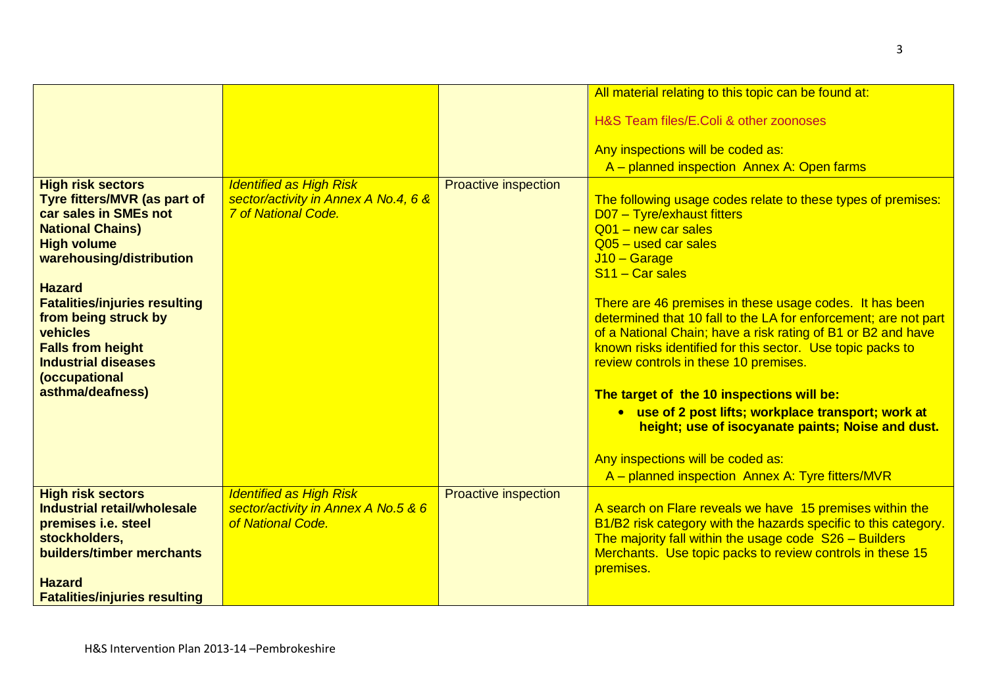|                                                       |                                                                    |                             | All material relating to this topic can be found at:                                                                       |
|-------------------------------------------------------|--------------------------------------------------------------------|-----------------------------|----------------------------------------------------------------------------------------------------------------------------|
|                                                       |                                                                    |                             | H&S Team files/E.Coli & other zoonoses                                                                                     |
|                                                       |                                                                    |                             |                                                                                                                            |
|                                                       |                                                                    |                             | Any inspections will be coded as:                                                                                          |
|                                                       |                                                                    |                             | A - planned inspection Annex A: Open farms                                                                                 |
| <b>High risk sectors</b>                              | <b>Identified as High Risk</b>                                     | <b>Proactive inspection</b> |                                                                                                                            |
| Tyre fitters/MVR (as part of<br>car sales in SMEs not | sector/activity in Annex A No.4, 6 &<br><b>7 of National Code.</b> |                             | The following usage codes relate to these types of premises:<br>D07 - Tyre/exhaust fitters                                 |
| <b>National Chains)</b>                               |                                                                    |                             | Q01 - new car sales                                                                                                        |
| <b>High volume</b>                                    |                                                                    |                             | $Q05$ – used car sales                                                                                                     |
| warehousing/distribution                              |                                                                    |                             | $J10 - Garage$<br>S <sub>11</sub> - Car sales                                                                              |
| <b>Hazard</b>                                         |                                                                    |                             |                                                                                                                            |
| <b>Fatalities/injuries resulting</b>                  |                                                                    |                             | There are 46 premises in these usage codes. It has been                                                                    |
| from being struck by                                  |                                                                    |                             | determined that 10 fall to the LA for enforcement; are not part                                                            |
| vehicles<br><b>Falls from height</b>                  |                                                                    |                             | of a National Chain; have a risk rating of B1 or B2 and have<br>known risks identified for this sector. Use topic packs to |
| <b>Industrial diseases</b>                            |                                                                    |                             | review controls in these 10 premises.                                                                                      |
| (occupational                                         |                                                                    |                             |                                                                                                                            |
| asthma/deafness)                                      |                                                                    |                             | The target of the 10 inspections will be:                                                                                  |
|                                                       |                                                                    |                             | • use of 2 post lifts; workplace transport; work at                                                                        |
|                                                       |                                                                    |                             | height; use of isocyanate paints; Noise and dust.                                                                          |
|                                                       |                                                                    |                             | Any inspections will be coded as:                                                                                          |
|                                                       |                                                                    |                             | A - planned inspection Annex A: Tyre fitters/MVR                                                                           |
| <b>High risk sectors</b>                              | <b>Identified as High Risk</b>                                     | <b>Proactive inspection</b> |                                                                                                                            |
| Industrial retail/wholesale                           | sector/activity in Annex A No.5 & 6                                |                             | A search on Flare reveals we have 15 premises within the                                                                   |
| premises i.e. steel<br>stockholders,                  | of National Code.                                                  |                             | B1/B2 risk category with the hazards specific to this category.<br>The majority fall within the usage code S26 - Builders  |
| builders/timber merchants                             |                                                                    |                             | Merchants. Use topic packs to review controls in these 15                                                                  |
|                                                       |                                                                    |                             | premises.                                                                                                                  |
| <b>Hazard</b>                                         |                                                                    |                             |                                                                                                                            |
| <b>Fatalities/injuries resulting</b>                  |                                                                    |                             |                                                                                                                            |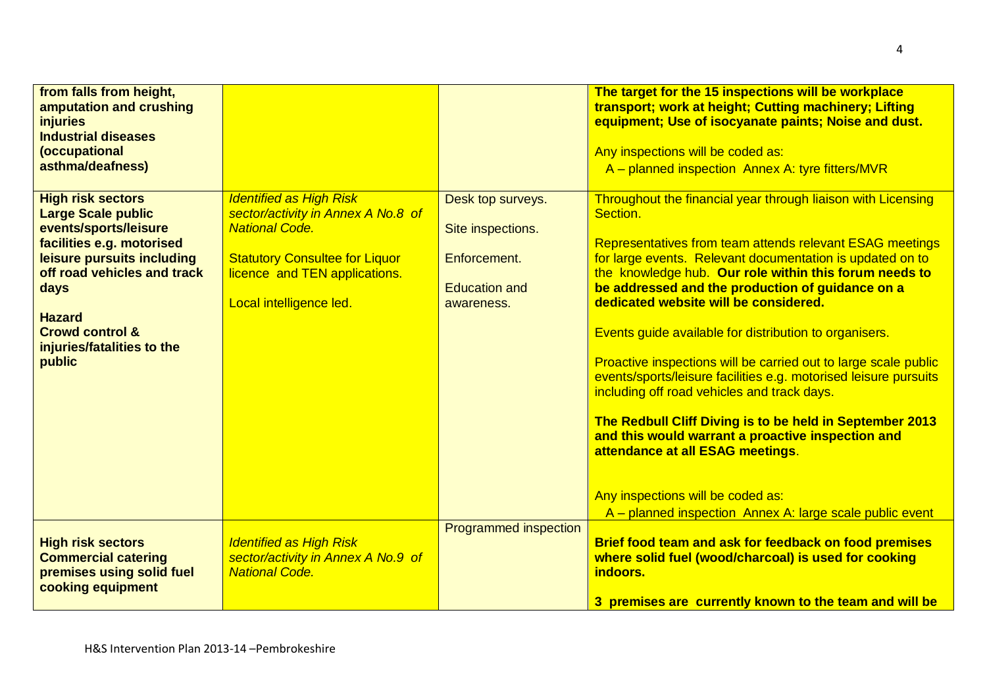| from falls from height,<br>amputation and crushing<br><i>injuries</i><br><b>Industrial diseases</b><br>(occupational<br>asthma/deafness)                                                                                                                                |                                                                                                                                                                                                    |                                                                                              | The target for the 15 inspections will be workplace<br>transport; work at height; Cutting machinery; Lifting<br>equipment; Use of isocyanate paints; Noise and dust.<br>Any inspections will be coded as:<br>A - planned inspection Annex A: tyre fitters/MVR                                                                                                                                                                                                                                                                                                                                                                                                                                                                                                                                                                                                  |
|-------------------------------------------------------------------------------------------------------------------------------------------------------------------------------------------------------------------------------------------------------------------------|----------------------------------------------------------------------------------------------------------------------------------------------------------------------------------------------------|----------------------------------------------------------------------------------------------|----------------------------------------------------------------------------------------------------------------------------------------------------------------------------------------------------------------------------------------------------------------------------------------------------------------------------------------------------------------------------------------------------------------------------------------------------------------------------------------------------------------------------------------------------------------------------------------------------------------------------------------------------------------------------------------------------------------------------------------------------------------------------------------------------------------------------------------------------------------|
| <b>High risk sectors</b><br><b>Large Scale public</b><br>events/sports/leisure<br>facilities e.g. motorised<br>leisure pursuits including<br>off road vehicles and track<br>days<br><b>Hazard</b><br><b>Crowd control &amp;</b><br>injuries/fatalities to the<br>public | <b>Identified as High Risk</b><br>sector/activity in Annex A No.8 of<br><b>National Code.</b><br><b>Statutory Consultee for Liquor</b><br>licence and TEN applications.<br>Local intelligence led. | Desk top surveys.<br>Site inspections.<br>Enforcement.<br><b>Education and</b><br>awareness. | Throughout the financial year through liaison with Licensing<br>Section.<br>Representatives from team attends relevant ESAG meetings<br>for large events. Relevant documentation is updated on to<br>the knowledge hub. Our role within this forum needs to<br>be addressed and the production of guidance on a<br>dedicated website will be considered.<br>Events guide available for distribution to organisers.<br>Proactive inspections will be carried out to large scale public<br>events/sports/leisure facilities e.g. motorised leisure pursuits<br>including off road vehicles and track days.<br>The Redbull Cliff Diving is to be held in September 2013<br>and this would warrant a proactive inspection and<br>attendance at all ESAG meetings.<br>Any inspections will be coded as:<br>A - planned inspection Annex A: large scale public event |
| <b>High risk sectors</b><br><b>Commercial catering</b><br>premises using solid fuel<br>cooking equipment                                                                                                                                                                | <b>Identified as High Risk</b><br>sector/activity in Annex A No.9 of<br><b>National Code.</b>                                                                                                      | Programmed inspection                                                                        | Brief food team and ask for feedback on food premises<br>where solid fuel (wood/charcoal) is used for cooking<br>indoors.<br>3 premises are currently known to the team and will be                                                                                                                                                                                                                                                                                                                                                                                                                                                                                                                                                                                                                                                                            |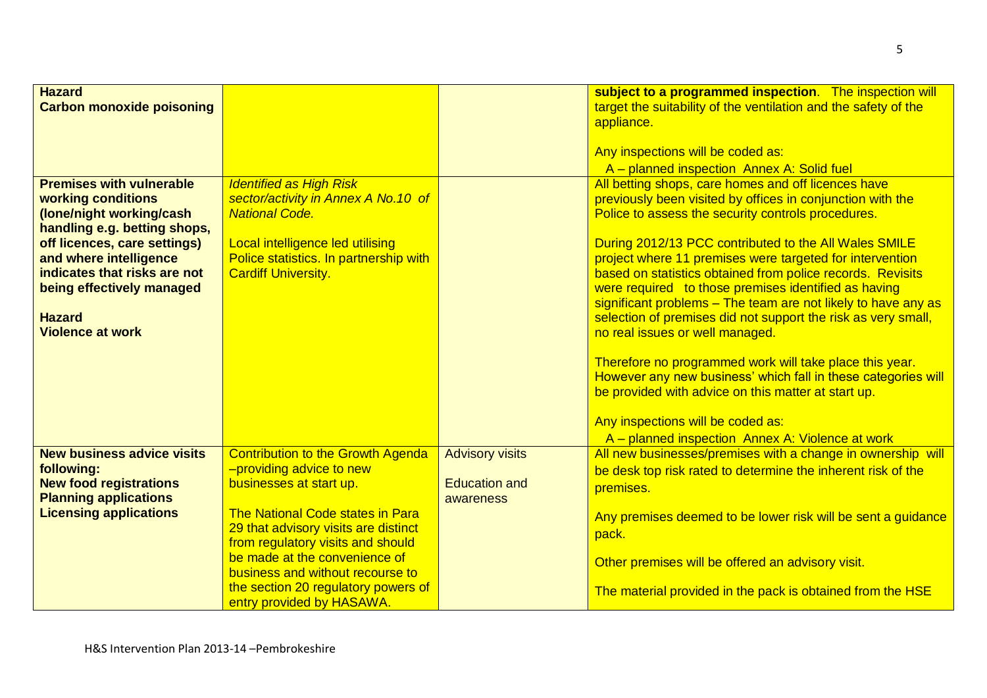| <b>Hazard</b>                               |                                                                      |                        | subject to a programmed inspection. The inspection will                                                                        |
|---------------------------------------------|----------------------------------------------------------------------|------------------------|--------------------------------------------------------------------------------------------------------------------------------|
| <b>Carbon monoxide poisoning</b>            |                                                                      |                        | target the suitability of the ventilation and the safety of the                                                                |
|                                             |                                                                      |                        | appliance.                                                                                                                     |
|                                             |                                                                      |                        | Any inspections will be coded as:                                                                                              |
|                                             |                                                                      |                        | A - planned inspection Annex A: Solid fuel                                                                                     |
| <b>Premises with vulnerable</b>             | <b>Identified as High Risk</b>                                       |                        | All betting shops, care homes and off licences have                                                                            |
| working conditions                          | sector/activity in Annex A No.10 of                                  |                        | previously been visited by offices in conjunction with the                                                                     |
| (lone/night working/cash                    | <b>National Code.</b>                                                |                        | Police to assess the security controls procedures.                                                                             |
| handling e.g. betting shops,                |                                                                      |                        |                                                                                                                                |
| off licences, care settings)                | Local intelligence led utilising                                     |                        | During 2012/13 PCC contributed to the All Wales SMILE                                                                          |
| and where intelligence                      | Police statistics. In partnership with                               |                        | project where 11 premises were targeted for intervention                                                                       |
| indicates that risks are not                | <b>Cardiff University.</b>                                           |                        | based on statistics obtained from police records. Revisits                                                                     |
| being effectively managed                   |                                                                      |                        | were required to those premises identified as having                                                                           |
| <b>Hazard</b>                               |                                                                      |                        | significant problems - The team are not likely to have any as<br>selection of premises did not support the risk as very small, |
| <b>Violence at work</b>                     |                                                                      |                        | no real issues or well managed.                                                                                                |
|                                             |                                                                      |                        |                                                                                                                                |
|                                             |                                                                      |                        | Therefore no programmed work will take place this year.                                                                        |
|                                             |                                                                      |                        | However any new business' which fall in these categories will                                                                  |
|                                             |                                                                      |                        | be provided with advice on this matter at start up.                                                                            |
|                                             |                                                                      |                        |                                                                                                                                |
|                                             |                                                                      |                        | Any inspections will be coded as:                                                                                              |
|                                             |                                                                      |                        | A - planned inspection Annex A: Violence at work                                                                               |
| <b>New business advice visits</b>           | <b>Contribution to the Growth Agenda</b><br>-providing advice to new | <b>Advisory visits</b> | All new businesses/premises with a change in ownership will                                                                    |
| following:<br><b>New food registrations</b> | businesses at start up.                                              | <b>Education and</b>   | be desk top risk rated to determine the inherent risk of the                                                                   |
| <b>Planning applications</b>                |                                                                      | awareness              | premises.                                                                                                                      |
| <b>Licensing applications</b>               | The National Code states in Para                                     |                        | Any premises deemed to be lower risk will be sent a guidance                                                                   |
|                                             | 29 that advisory visits are distinct                                 |                        | pack.                                                                                                                          |
|                                             | from regulatory visits and should                                    |                        |                                                                                                                                |
|                                             | be made at the convenience of                                        |                        | Other premises will be offered an advisory visit.                                                                              |
|                                             | business and without recourse to                                     |                        |                                                                                                                                |
|                                             | the section 20 regulatory powers of                                  |                        | The material provided in the pack is obtained from the HSE                                                                     |
|                                             | entry provided by HASAWA.                                            |                        |                                                                                                                                |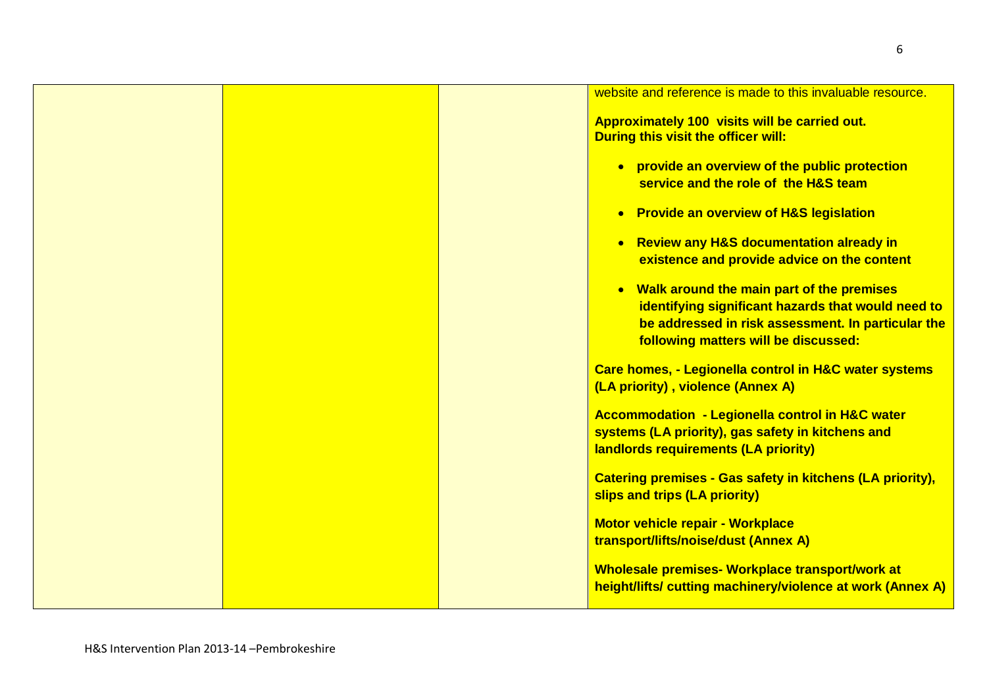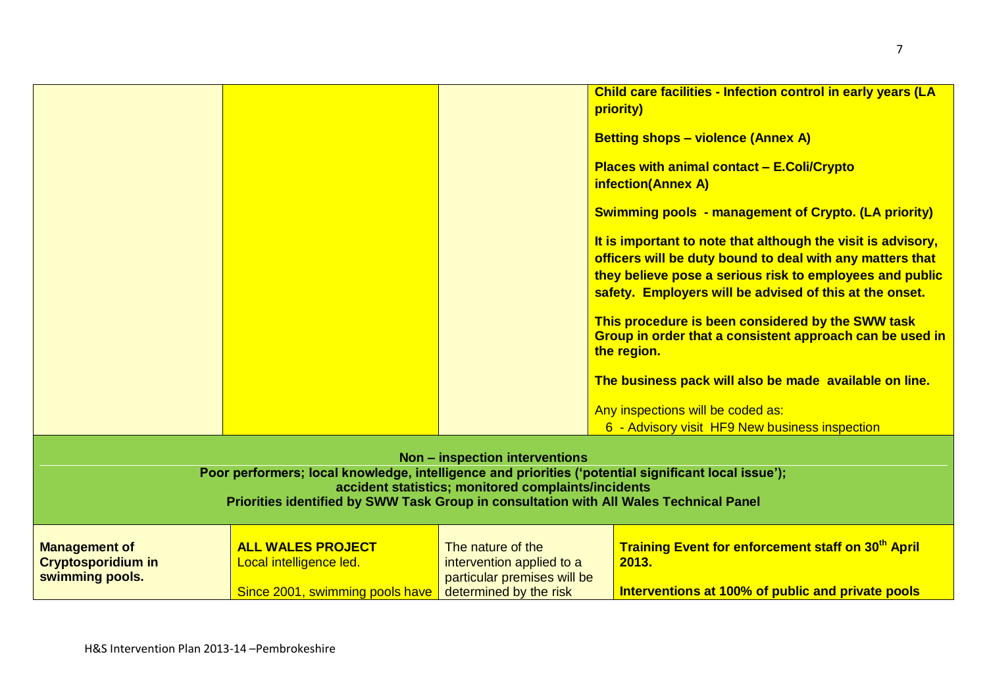|                                                                      |                                                                                                                                                                                                                                                                                          |                                                                                                                                                                                                         | Child care facilities - Infection control in early years (LA<br>priority)<br><b>Betting shops - violence (Annex A)</b><br><b>Places with animal contact - E.Coli/Crypto</b><br><b>infection(Annex A)</b><br><b>Swimming pools - management of Crypto. (LA priority)</b><br>It is important to note that although the visit is advisory,<br>officers will be duty bound to deal with any matters that<br>they believe pose a serious risk to employees and public<br>safety. Employers will be advised of this at the onset.<br>This procedure is been considered by the SWW task<br>Group in order that a consistent approach can be used in<br>the region.<br>The business pack will also be made available on line.<br>Any inspections will be coded as:<br>6 - Advisory visit HF9 New business inspection |
|----------------------------------------------------------------------|------------------------------------------------------------------------------------------------------------------------------------------------------------------------------------------------------------------------------------------------------------------------------------------|---------------------------------------------------------------------------------------------------------------------------------------------------------------------------------------------------------|--------------------------------------------------------------------------------------------------------------------------------------------------------------------------------------------------------------------------------------------------------------------------------------------------------------------------------------------------------------------------------------------------------------------------------------------------------------------------------------------------------------------------------------------------------------------------------------------------------------------------------------------------------------------------------------------------------------------------------------------------------------------------------------------------------------|
| <b>Management of</b><br><b>Cryptosporidium in</b><br>swimming pools. | Poor performers; local knowledge, intelligence and priorities ('potential significant local issue');<br>Priorities identified by SWW Task Group in consultation with All Wales Technical Panel<br><b>ALL WALES PROJECT</b><br>Local intelligence led.<br>Since 2001, swimming pools have | <b>Non - inspection interventions</b><br>accident statistics; monitored complaints/incidents<br>The nature of the<br>intervention applied to a<br>particular premises will be<br>determined by the risk | Training Event for enforcement staff on 30 <sup>th</sup> April<br>2013.<br>Interventions at 100% of public and private pools                                                                                                                                                                                                                                                                                                                                                                                                                                                                                                                                                                                                                                                                                 |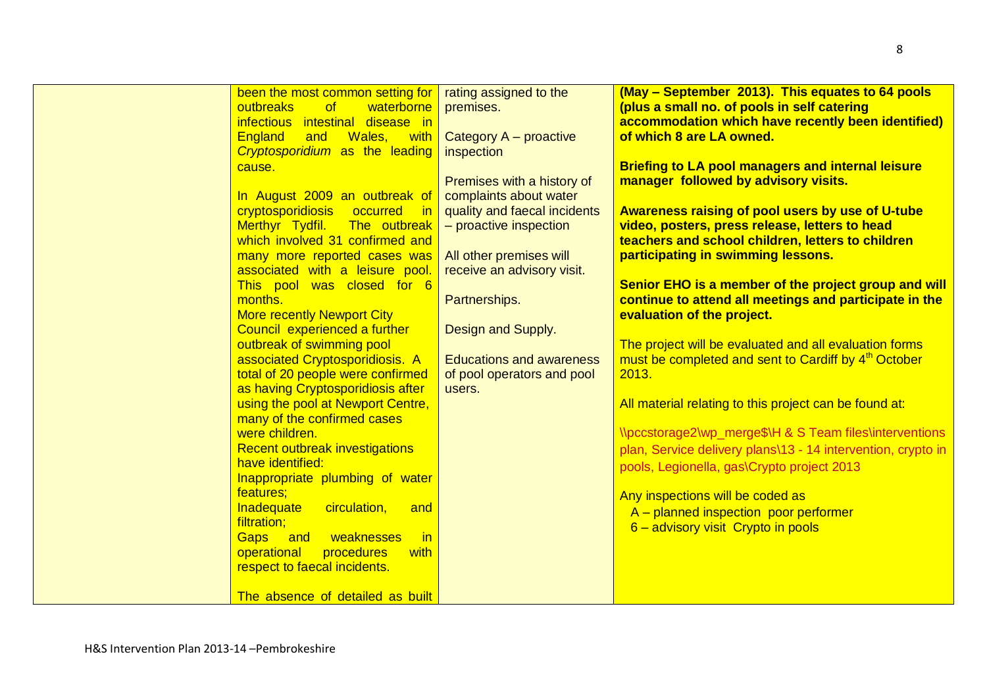| been the most common setting for         | rating assigned to the          | (May - September 2013). This equates to 64 pools                 |
|------------------------------------------|---------------------------------|------------------------------------------------------------------|
| outbreaks<br>of<br>waterborne            | premises.                       | (plus a small no. of pools in self catering                      |
| infectious intestinal disease in         |                                 | accommodation which have recently been identified)               |
| <b>England</b><br>Wales, with<br>and     | Category A - proactive          | of which 8 are LA owned.                                         |
| <b>Cryptosporidium as the leading</b>    | inspection                      |                                                                  |
| cause.                                   |                                 | <b>Briefing to LA pool managers and internal leisure</b>         |
|                                          | Premises with a history of      | manager followed by advisory visits.                             |
| In August 2009 an outbreak of            | complaints about water          |                                                                  |
| cryptosporidiosis occurred in            | quality and faecal incidents    | <b>Awareness raising of pool users by use of U-tube</b>          |
| Merthyr Tydfil. The outbreak             | - proactive inspection          | video, posters, press release, letters to head                   |
| which involved 31 confirmed and          |                                 | teachers and school children, letters to children                |
| many more reported cases was             | All other premises will         | participating in swimming lessons.                               |
| associated with a leisure pool.          | receive an advisory visit.      |                                                                  |
| This pool was closed for 6               |                                 | Senior EHO is a member of the project group and will             |
| months.                                  | Partnerships.                   | continue to attend all meetings and participate in the           |
| <b>More recently Newport City</b>        |                                 | evaluation of the project.                                       |
| Council experienced a further            | Design and Supply.              |                                                                  |
| outbreak of swimming pool                |                                 | The project will be evaluated and all evaluation forms           |
| associated Cryptosporidiosis. A          | <b>Educations and awareness</b> | must be completed and sent to Cardiff by 4 <sup>th</sup> October |
| total of 20 people were confirmed        | of pool operators and pool      | 2013.                                                            |
| as having Cryptosporidiosis after        | users.                          |                                                                  |
| using the pool at Newport Centre,        |                                 | All material relating to this project can be found at:           |
| many of the confirmed cases              |                                 |                                                                  |
| were children.                           |                                 | \\pccstorage2\wp_merge\$\H & S Team files\interventions          |
| <b>Recent outbreak investigations</b>    |                                 | plan, Service delivery plans\13 - 14 intervention, crypto in     |
| have identified:                         |                                 | pools, Legionella, gas\Crypto project 2013                       |
| Inappropriate plumbing of water          |                                 |                                                                  |
| features;                                |                                 | Any inspections will be coded as                                 |
| circulation,<br><b>Inadequate</b><br>and |                                 | A - planned inspection poor performer                            |
| filtration;                              |                                 | 6 - advisory visit Crypto in pools                               |
| weaknesses<br>in<br>Gaps<br>and          |                                 |                                                                  |
| operational<br>procedures<br>with        |                                 |                                                                  |
| respect to faecal incidents.             |                                 |                                                                  |
|                                          |                                 |                                                                  |
| The absence of detailed as built         |                                 |                                                                  |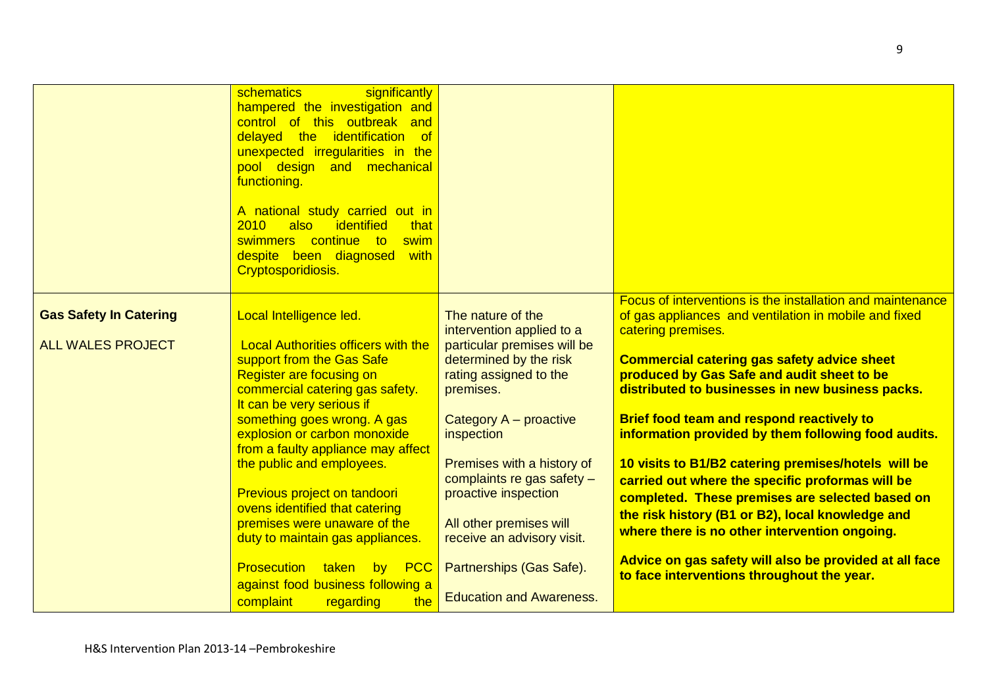|                               | significantly<br>schematics<br>hampered the investigation and<br>control of this outbreak and<br>delayed the identification<br><b>of</b><br>unexpected irregularities in the<br>pool design and mechanical<br>functioning.<br>A national study carried out in<br>2010<br>also<br>identified<br>that<br>swimmers continue to<br>swim<br>despite been diagnosed<br>with<br>Cryptosporidiosis. |                                                                                 |                                                                                                                                                      |
|-------------------------------|---------------------------------------------------------------------------------------------------------------------------------------------------------------------------------------------------------------------------------------------------------------------------------------------------------------------------------------------------------------------------------------------|---------------------------------------------------------------------------------|------------------------------------------------------------------------------------------------------------------------------------------------------|
| <b>Gas Safety In Catering</b> | Local Intelligence led.                                                                                                                                                                                                                                                                                                                                                                     | The nature of the<br>intervention applied to a                                  | Focus of interventions is the installation and maintenance<br>of gas appliances and ventilation in mobile and fixed<br>catering premises.            |
|                               | support from the Gas Safe<br><b>Register are focusing on</b><br>commercial catering gas safety.                                                                                                                                                                                                                                                                                             | determined by the risk<br>rating assigned to the<br>premises.                   | <b>Commercial catering gas safety advice sheet</b><br>produced by Gas Safe and audit sheet to be<br>distributed to businesses in new business packs. |
|                               | something goes wrong. A gas<br>explosion or carbon monoxide                                                                                                                                                                                                                                                                                                                                 | Category A - proactive<br>inspection                                            | Brief food team and respond reactively to<br>information provided by them following food audits.                                                     |
|                               | the public and employees.                                                                                                                                                                                                                                                                                                                                                                   | Premises with a history of<br>complaints re gas safety $-$                      | 10 visits to B1/B2 catering premises/hotels will be<br>carried out where the specific proformas will be                                              |
|                               | ovens identified that catering<br>premises were unaware of the                                                                                                                                                                                                                                                                                                                              | All other premises will                                                         | completed. These premises are selected based on<br>the risk history (B1 or B2), local knowledge and                                                  |
|                               | duty to maintain gas appliances.                                                                                                                                                                                                                                                                                                                                                            | receive an advisory visit.                                                      |                                                                                                                                                      |
|                               | against food business following a                                                                                                                                                                                                                                                                                                                                                           | <b>Education and Awareness.</b>                                                 | to face interventions throughout the year.                                                                                                           |
| <b>ALL WALES PROJECT</b>      | <b>Local Authorities officers with the</b><br>It can be very serious if<br>from a faulty appliance may affect<br>Previous project on tandoori<br><b>Prosecution</b><br><b>PCC</b><br>taken<br>by<br>complaint<br>the<br>regarding                                                                                                                                                           | particular premises will be<br>proactive inspection<br>Partnerships (Gas Safe). | where there is no other intervention ongoing.<br>Advice on gas safety will also be provided at all face                                              |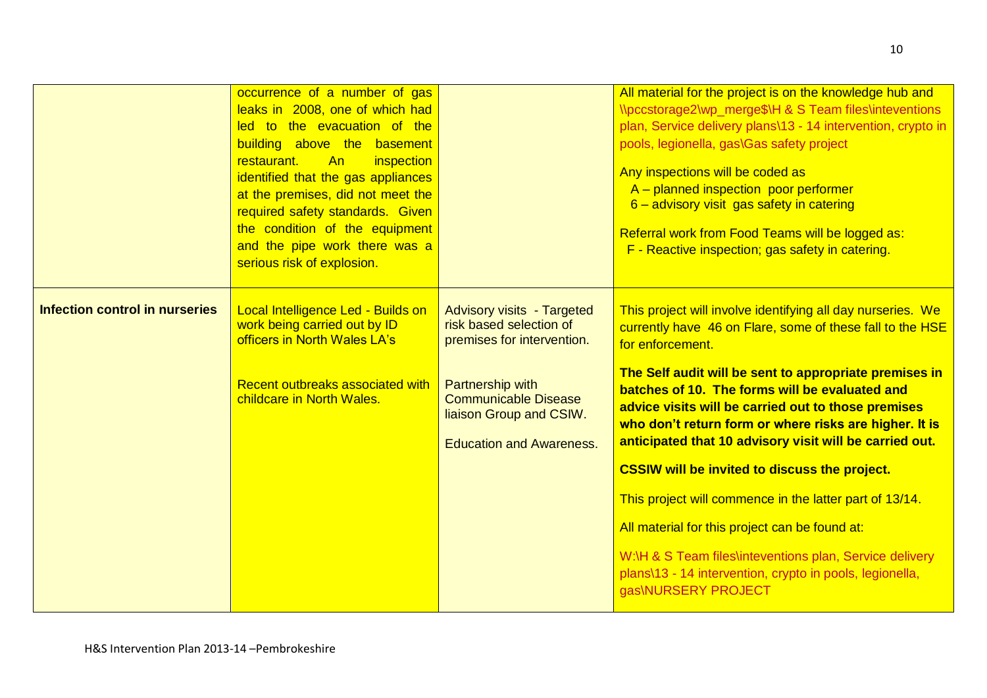|                                       | occurrence of a number of gas<br>leaks in 2008, one of which had<br>led to the evacuation of the<br>building above the basement<br>An<br>restaurant.<br>inspection<br>identified that the gas appliances<br>at the premises, did not meet the<br>required safety standards. Given<br>the condition of the equipment<br>and the pipe work there was a<br>serious risk of explosion. |                                                                                                                      | All material for the project is on the knowledge hub and<br>\\pccstorage2\wp_merge\$\H & S Team files\inteventions<br>plan, Service delivery plans\13 - 14 intervention, crypto in<br>pools, legionella, gas\Gas safety project<br>Any inspections will be coded as<br>A - planned inspection poor performer<br>6 - advisory visit gas safety in catering<br>Referral work from Food Teams will be logged as:<br>F - Reactive inspection; gas safety in catering. |
|---------------------------------------|------------------------------------------------------------------------------------------------------------------------------------------------------------------------------------------------------------------------------------------------------------------------------------------------------------------------------------------------------------------------------------|----------------------------------------------------------------------------------------------------------------------|-------------------------------------------------------------------------------------------------------------------------------------------------------------------------------------------------------------------------------------------------------------------------------------------------------------------------------------------------------------------------------------------------------------------------------------------------------------------|
| <b>Infection control in nurseries</b> | Local Intelligence Led - Builds on<br>work being carried out by ID<br>officers in North Wales LA's                                                                                                                                                                                                                                                                                 | <b>Advisory visits - Targeted</b><br>risk based selection of<br>premises for intervention.                           | This project will involve identifying all day nurseries. We<br>currently have 46 on Flare, some of these fall to the HSE<br>for enforcement.                                                                                                                                                                                                                                                                                                                      |
|                                       | Recent outbreaks associated with<br>childcare in North Wales.                                                                                                                                                                                                                                                                                                                      | <b>Partnership with</b><br><b>Communicable Disease</b><br>liaison Group and CSIW.<br><b>Education and Awareness.</b> | The Self audit will be sent to appropriate premises in<br>batches of 10. The forms will be evaluated and<br>advice visits will be carried out to those premises<br>who don't return form or where risks are higher. It is<br>anticipated that 10 advisory visit will be carried out.                                                                                                                                                                              |
|                                       |                                                                                                                                                                                                                                                                                                                                                                                    |                                                                                                                      | <b>CSSIW will be invited to discuss the project.</b>                                                                                                                                                                                                                                                                                                                                                                                                              |
|                                       |                                                                                                                                                                                                                                                                                                                                                                                    |                                                                                                                      | This project will commence in the latter part of 13/14.<br>All material for this project can be found at:                                                                                                                                                                                                                                                                                                                                                         |
|                                       |                                                                                                                                                                                                                                                                                                                                                                                    |                                                                                                                      | W:\H & S Team files\inteventions plan, Service delivery<br>plans\13 - 14 intervention, crypto in pools, legionella,<br>gas\NURSERY PROJECT                                                                                                                                                                                                                                                                                                                        |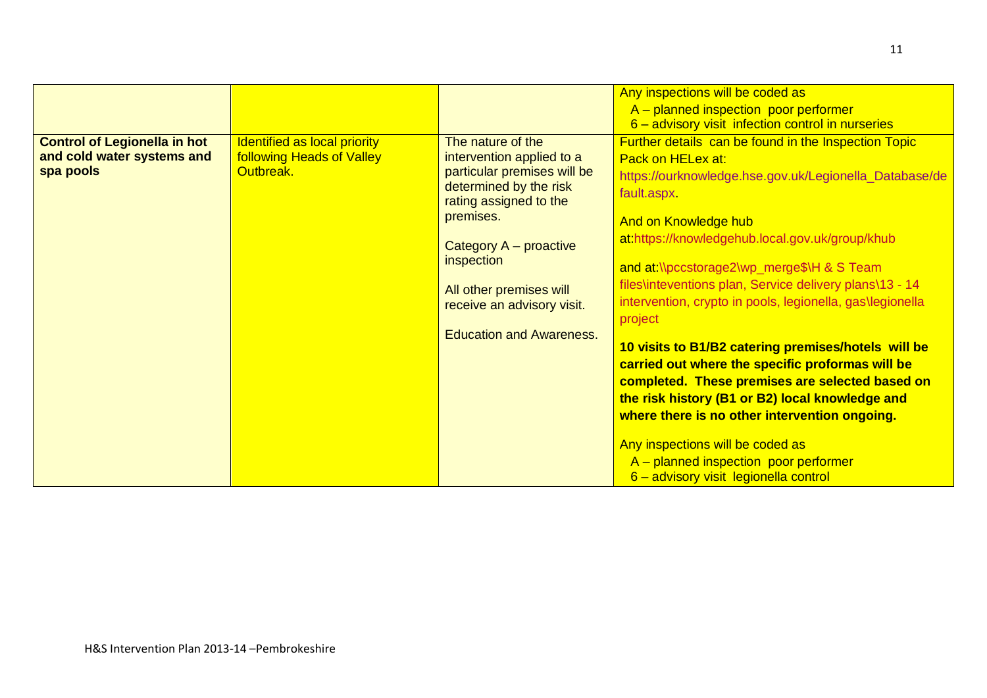|                                     |                                  |                                 | Any inspections will be coded as                          |
|-------------------------------------|----------------------------------|---------------------------------|-----------------------------------------------------------|
|                                     |                                  |                                 | A – planned inspection poor performer                     |
|                                     |                                  |                                 | 6 - advisory visit infection control in nurseries         |
| <b>Control of Legionella in hot</b> | Identified as local priority     | The nature of the               | Further details can be found in the Inspection Topic      |
| and cold water systems and          | <b>following Heads of Valley</b> | intervention applied to a       | Pack on HELex at:                                         |
| spa pools                           | Outbreak.                        | particular premises will be     | https://ourknowledge.hse.gov.uk/Legionella_Database/de    |
|                                     |                                  | determined by the risk          | fault.aspx                                                |
|                                     |                                  | rating assigned to the          |                                                           |
|                                     |                                  | premises.                       | And on Knowledge hub                                      |
|                                     |                                  | Category A – proactive          | at:https://knowledgehub.local.gov.uk/group/khub           |
|                                     |                                  | inspection                      |                                                           |
|                                     |                                  |                                 | and at \\pccstorage2\wp_merge\$\H & S Team                |
|                                     |                                  | All other premises will         | files\inteventions plan, Service delivery plans\13 - 14   |
|                                     |                                  | receive an advisory visit.      | intervention, crypto in pools, legionella, gas\legionella |
|                                     |                                  |                                 | project                                                   |
|                                     |                                  | <b>Education and Awareness.</b> |                                                           |
|                                     |                                  |                                 | 10 visits to B1/B2 catering premises/hotels will be       |
|                                     |                                  |                                 | carried out where the specific proformas will be          |
|                                     |                                  |                                 | completed. These premises are selected based on           |
|                                     |                                  |                                 | the risk history (B1 or B2) local knowledge and           |
|                                     |                                  |                                 | where there is no other intervention ongoing.             |
|                                     |                                  |                                 |                                                           |
|                                     |                                  |                                 | Any inspections will be coded as                          |
|                                     |                                  |                                 | $A$ – planned inspection poor performer                   |
|                                     |                                  |                                 | 6 - advisory visit legionella control                     |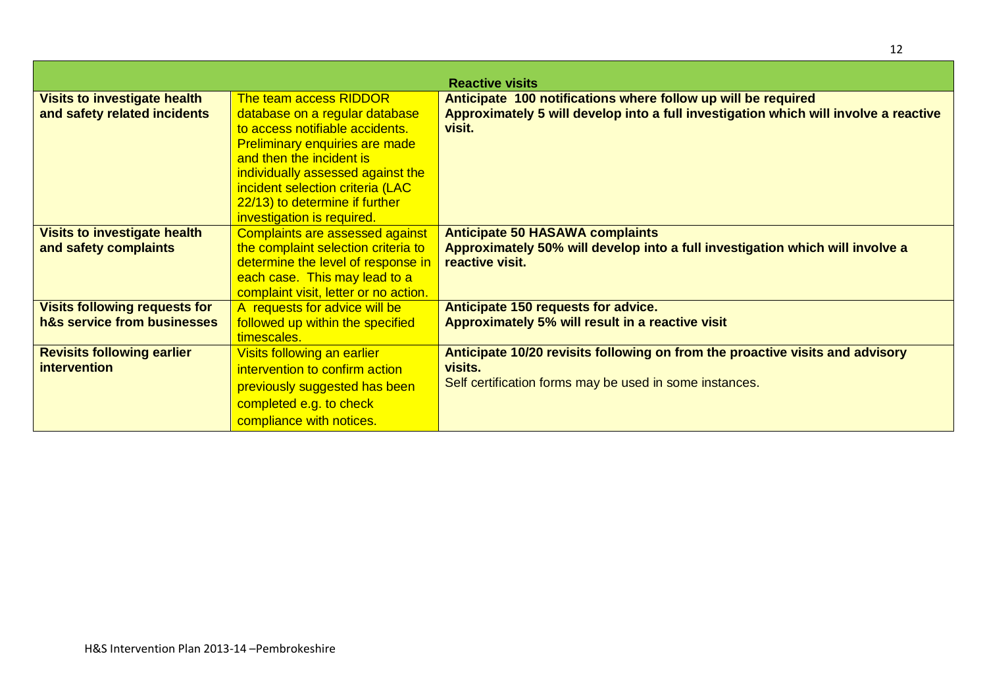|                                                                     |                                                                                                                                                                                                                                                                                                           | <b>Reactive visits</b>                                                                                                                                          |
|---------------------------------------------------------------------|-----------------------------------------------------------------------------------------------------------------------------------------------------------------------------------------------------------------------------------------------------------------------------------------------------------|-----------------------------------------------------------------------------------------------------------------------------------------------------------------|
| <b>Visits to investigate health</b><br>and safety related incidents | The team access RIDDOR<br>database on a regular database<br>to access notifiable accidents.<br><b>Preliminary enquiries are made</b><br>and then the incident is<br>individually assessed against the<br>incident selection criteria (LAC<br>22/13) to determine if further<br>investigation is required. | Anticipate 100 notifications where follow up will be required<br>Approximately 5 will develop into a full investigation which will involve a reactive<br>visit. |
| <b>Visits to investigate health</b><br>and safety complaints        | <b>Complaints are assessed against</b><br>the complaint selection criteria to<br>determine the level of response in<br>each case. This may lead to a<br>complaint visit, letter or no action.                                                                                                             | <b>Anticipate 50 HASAWA complaints</b><br>Approximately 50% will develop into a full investigation which will involve a<br>reactive visit.                      |
| <b>Visits following requests for</b><br>h&s service from businesses | A requests for advice will be<br>followed up within the specified<br>timescales.                                                                                                                                                                                                                          | Anticipate 150 requests for advice.<br>Approximately 5% will result in a reactive visit                                                                         |
| <b>Revisits following earlier</b><br><i>intervention</i>            | Visits following an earlier<br>intervention to confirm action<br>previously suggested has been<br>completed e.g. to check<br>compliance with notices.                                                                                                                                                     | Anticipate 10/20 revisits following on from the proactive visits and advisory<br>visits.<br>Self certification forms may be used in some instances.             |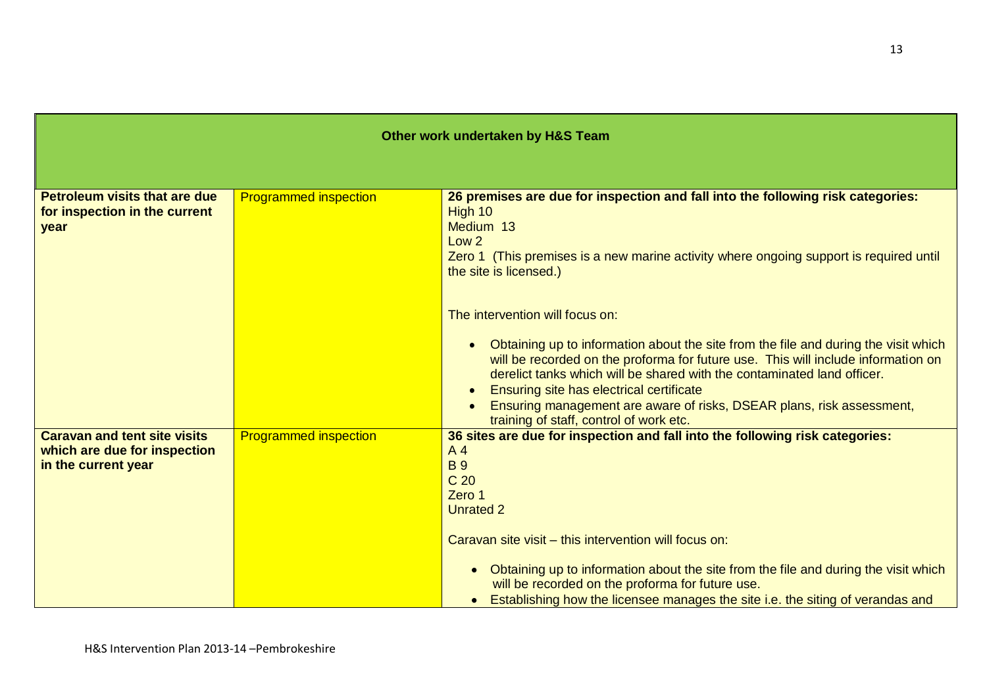|                                                                                            |                              | Other work undertaken by H&S Team                                                                                                                                                                                                                                                                                                                                                                                                                                                                                                                                                                                                                                                                                                                |
|--------------------------------------------------------------------------------------------|------------------------------|--------------------------------------------------------------------------------------------------------------------------------------------------------------------------------------------------------------------------------------------------------------------------------------------------------------------------------------------------------------------------------------------------------------------------------------------------------------------------------------------------------------------------------------------------------------------------------------------------------------------------------------------------------------------------------------------------------------------------------------------------|
|                                                                                            |                              |                                                                                                                                                                                                                                                                                                                                                                                                                                                                                                                                                                                                                                                                                                                                                  |
| <b>Petroleum visits that are due</b><br>for inspection in the current<br>year              | <b>Programmed inspection</b> | 26 premises are due for inspection and fall into the following risk categories:<br>High 10<br>Medium 13<br>Low <sub>2</sub><br>Zero 1 (This premises is a new marine activity where ongoing support is required until<br>the site is licensed.)<br>The intervention will focus on:<br>Obtaining up to information about the site from the file and during the visit which<br>$\bullet$<br>will be recorded on the proforma for future use. This will include information on<br>derelict tanks which will be shared with the contaminated land officer.<br>Ensuring site has electrical certificate<br>$\bullet$<br>Ensuring management are aware of risks, DSEAR plans, risk assessment,<br>$\bullet$<br>training of staff, control of work etc. |
| <b>Caravan and tent site visits</b><br>which are due for inspection<br>in the current year | <b>Programmed inspection</b> | 36 sites are due for inspection and fall into the following risk categories:<br>A4<br><b>B</b> <sub>9</sub><br>C <sub>20</sub><br>Zero 1<br><b>Unrated 2</b><br>Caravan site visit - this intervention will focus on:<br>Obtaining up to information about the site from the file and during the visit which<br>will be recorded on the proforma for future use.<br>Establishing how the licensee manages the site i.e. the siting of verandas and                                                                                                                                                                                                                                                                                               |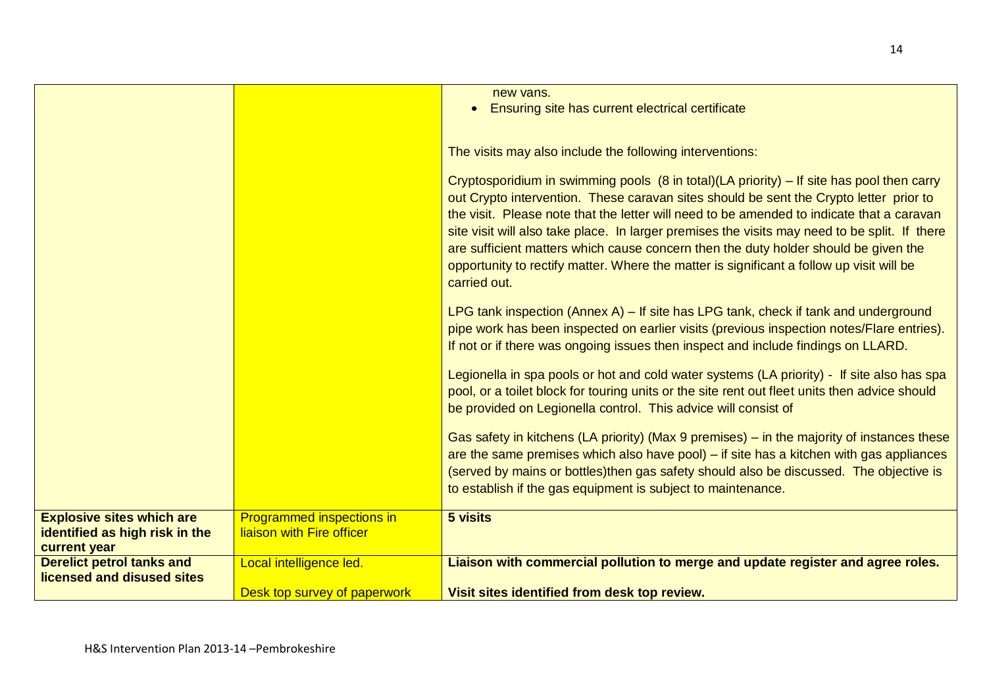|                                                                                    |                                                               | new vans.<br>Ensuring site has current electrical certificate<br>$\bullet$                                                                                                                                                                                                                                                                                                                                                                                                                                                                                                           |
|------------------------------------------------------------------------------------|---------------------------------------------------------------|--------------------------------------------------------------------------------------------------------------------------------------------------------------------------------------------------------------------------------------------------------------------------------------------------------------------------------------------------------------------------------------------------------------------------------------------------------------------------------------------------------------------------------------------------------------------------------------|
|                                                                                    |                                                               | The visits may also include the following interventions:                                                                                                                                                                                                                                                                                                                                                                                                                                                                                                                             |
|                                                                                    |                                                               | Cryptosporidium in swimming pools (8 in total)(LA priority) – If site has pool then carry<br>out Crypto intervention. These caravan sites should be sent the Crypto letter prior to<br>the visit. Please note that the letter will need to be amended to indicate that a caravan<br>site visit will also take place. In larger premises the visits may need to be split. If there<br>are sufficient matters which cause concern then the duty holder should be given the<br>opportunity to rectify matter. Where the matter is significant a follow up visit will be<br>carried out. |
|                                                                                    |                                                               | LPG tank inspection (Annex A) $-$ If site has LPG tank, check if tank and underground<br>pipe work has been inspected on earlier visits (previous inspection notes/Flare entries).<br>If not or if there was ongoing issues then inspect and include findings on LLARD.                                                                                                                                                                                                                                                                                                              |
|                                                                                    |                                                               | Legionella in spa pools or hot and cold water systems (LA priority) - If site also has spa<br>pool, or a toilet block for touring units or the site rent out fleet units then advice should<br>be provided on Legionella control. This advice will consist of                                                                                                                                                                                                                                                                                                                        |
|                                                                                    |                                                               | Gas safety in kitchens (LA priority) (Max 9 premises) – in the majority of instances these<br>are the same premises which also have pool) – if site has a kitchen with gas appliances<br>(served by mains or bottles)then gas safety should also be discussed. The objective is<br>to establish if the gas equipment is subject to maintenance.                                                                                                                                                                                                                                      |
| <b>Explosive sites which are</b><br>identified as high risk in the<br>current year | <b>Programmed inspections in</b><br>liaison with Fire officer | 5 visits                                                                                                                                                                                                                                                                                                                                                                                                                                                                                                                                                                             |
| <b>Derelict petrol tanks and</b><br>licensed and disused sites                     | Local intelligence led.                                       | Liaison with commercial pollution to merge and update register and agree roles.                                                                                                                                                                                                                                                                                                                                                                                                                                                                                                      |
|                                                                                    | Desk top survey of paperwork                                  | Visit sites identified from desk top review.                                                                                                                                                                                                                                                                                                                                                                                                                                                                                                                                         |